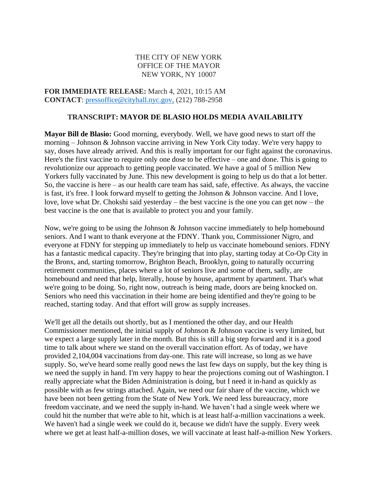## THE CITY OF NEW YORK OFFICE OF THE MAYOR NEW YORK, NY 10007

**FOR IMMEDIATE RELEASE:** March 4, 2021, 10:15 AM **CONTACT**: [pressoffice@cityhall.nyc.gov,](mailto:pressoffice@cityhall.nyc.gov) (212) 788-2958

## **TRANSCRIPT: MAYOR DE BLASIO HOLDS MEDIA AVAILABILITY**

**Mayor Bill de Blasio:** Good morning, everybody. Well, we have good news to start off the morning – Johnson & Johnson vaccine arriving in New York City today. We're very happy to say, doses have already arrived. And this is really important for our fight against the coronavirus. Here's the first vaccine to require only one dose to be effective – one and done. This is going to revolutionize our approach to getting people vaccinated. We have a goal of 5 million New Yorkers fully vaccinated by June. This new development is going to help us do that a lot better. So, the vaccine is here – as our health care team has said, safe, effective. As always, the vaccine is fast, it's free. I look forward myself to getting the Johnson & Johnson vaccine. And I love, love, love what Dr. Chokshi said yesterday – the best vaccine is the one you can get now – the best vaccine is the one that is available to protect you and your family.

Now, we're going to be using the Johnson & Johnson vaccine immediately to help homebound seniors. And I want to thank everyone at the FDNY. Thank you, Commissioner Nigro, and everyone at FDNY for stepping up immediately to help us vaccinate homebound seniors. FDNY has a fantastic medical capacity. They're bringing that into play, starting today at Co-Op City in the Bronx, and, starting tomorrow, Brighton Beach, Brooklyn, going to naturally occurring retirement communities, places where a lot of seniors live and some of them, sadly, are homebound and need that help, literally, house by house, apartment by apartment. That's what we're going to be doing. So, right now, outreach is being made, doors are being knocked on. Seniors who need this vaccination in their home are being identified and they're going to be reached, starting today. And that effort will grow as supply increases.

We'll get all the details out shortly, but as I mentioned the other day, and our Health Commissioner mentioned, the initial supply of Johnson & Johnson vaccine is very limited, but we expect a large supply later in the month. But this is still a big step forward and it is a good time to talk about where we stand on the overall vaccination effort. As of today, we have provided 2,104,004 vaccinations from day-one. This rate will increase, so long as we have supply. So, we've heard some really good news the last few days on supply, but the key thing is we need the supply in hand. I'm very happy to hear the projections coming out of Washington. I really appreciate what the Biden Administration is doing, but I need it in-hand as quickly as possible with as few strings attached. Again, we need our fair share of the vaccine, which we have been not been getting from the State of New York. We need less bureaucracy, more freedom vaccinate, and we need the supply in-hand. We haven't had a single week where we could hit the number that we're able to hit, which is at least half-a-million vaccinations a week. We haven't had a single week we could do it, because we didn't have the supply. Every week where we get at least half-a-million doses, we will vaccinate at least half-a-million New Yorkers.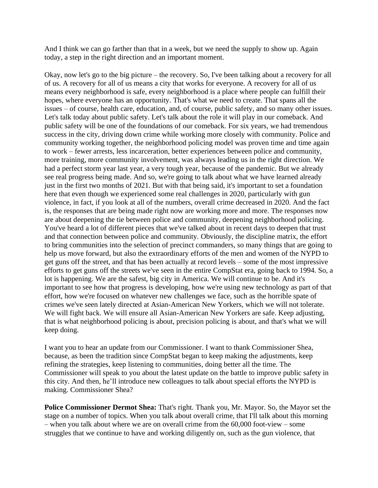And I think we can go farther than that in a week, but we need the supply to show up. Again today, a step in the right direction and an important moment.

Okay, now let's go to the big picture – the recovery. So, I've been talking about a recovery for all of us. A recovery for all of us means a city that works for everyone. A recovery for all of us means every neighborhood is safe, every neighborhood is a place where people can fulfill their hopes, where everyone has an opportunity. That's what we need to create. That spans all the issues – of course, health care, education, and, of course, public safety, and so many other issues. Let's talk today about public safety. Let's talk about the role it will play in our comeback. And public safety will be one of the foundations of our comeback. For six years, we had tremendous success in the city, driving down crime while working more closely with community. Police and community working together, the neighborhood policing model was proven time and time again to work – fewer arrests, less incarceration, better experiences between police and community, more training, more community involvement, was always leading us in the right direction. We had a perfect storm year last year, a very tough year, because of the pandemic. But we already see real progress being made. And so, we're going to talk about what we have learned already just in the first two months of 2021. But with that being said, it's important to set a foundation here that even though we experienced some real challenges in 2020, particularly with gun violence, in fact, if you look at all of the numbers, overall crime decreased in 2020. And the fact is, the responses that are being made right now are working more and more. The responses now are about deepening the tie between police and community, deepening neighborhood policing. You've heard a lot of different pieces that we've talked about in recent days to deepen that trust and that connection between police and community. Obviously, the discipline matrix, the effort to bring communities into the selection of precinct commanders, so many things that are going to help us move forward, but also the extraordinary efforts of the men and women of the NYPD to get guns off the street, and that has been actually at record levels – some of the most impressive efforts to get guns off the streets we've seen in the entire CompStat era, going back to 1994. So, a lot is happening. We are the safest, big city in America. We will continue to be. And it's important to see how that progress is developing, how we're using new technology as part of that effort, how we're focused on whatever new challenges we face, such as the horrible spate of crimes we've seen lately directed at Asian-American New Yorkers, which we will not tolerate. We will fight back. We will ensure all Asian-American New Yorkers are safe. Keep adjusting, that is what neighborhood policing is about, precision policing is about, and that's what we will keep doing.

I want you to hear an update from our Commissioner. I want to thank Commissioner Shea, because, as been the tradition since CompStat began to keep making the adjustments, keep refining the strategies, keep listening to communities, doing better all the time. The Commissioner will speak to you about the latest update on the battle to improve public safety in this city. And then, he'll introduce new colleagues to talk about special efforts the NYPD is making. Commissioner Shea?

**Police Commissioner Dermot Shea:** That's right. Thank you, Mr. Mayor. So, the Mayor set the stage on a number of topics. When you talk about overall crime, that I'll talk about this morning – when you talk about where we are on overall crime from the 60,000 foot-view – some struggles that we continue to have and working diligently on, such as the gun violence, that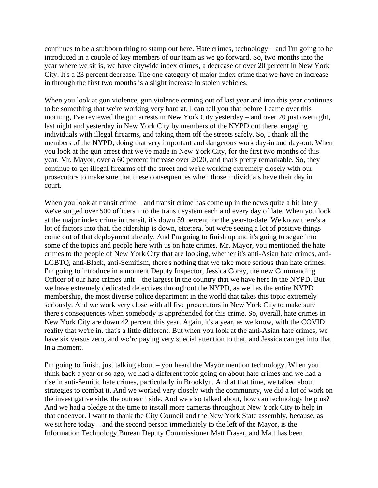continues to be a stubborn thing to stamp out here. Hate crimes, technology – and I'm going to be introduced in a couple of key members of our team as we go forward. So, two months into the year where we sit is, we have citywide index crimes, a decrease of over 20 percent in New York City. It's a 23 percent decrease. The one category of major index crime that we have an increase in through the first two months is a slight increase in stolen vehicles.

When you look at gun violence, gun violence coming out of last year and into this year continues to be something that we're working very hard at. I can tell you that before I came over this morning, I've reviewed the gun arrests in New York City yesterday – and over 20 just overnight, last night and yesterday in New York City by members of the NYPD out there, engaging individuals with illegal firearms, and taking them off the streets safely. So, I thank all the members of the NYPD, doing that very important and dangerous work day-in and day-out. When you look at the gun arrest that we've made in New York City, for the first two months of this year, Mr. Mayor, over a 60 percent increase over 2020, and that's pretty remarkable. So, they continue to get illegal firearms off the street and we're working extremely closely with our prosecutors to make sure that these consequences when those individuals have their day in court.

When you look at transit crime – and transit crime has come up in the news quite a bit lately – we've surged over 500 officers into the transit system each and every day of late. When you look at the major index crime in transit, it's down 59 percent for the year-to-date. We know there's a lot of factors into that, the ridership is down, etcetera, but we're seeing a lot of positive things come out of that deployment already. And I'm going to finish up and it's going to segue into some of the topics and people here with us on hate crimes. Mr. Mayor, you mentioned the hate crimes to the people of New York City that are looking, whether it's anti-Asian hate crimes, anti-LGBTQ, anti-Black, anti-Semitism, there's nothing that we take more serious than hate crimes. I'm going to introduce in a moment Deputy Inspector, Jessica Corey, the new Commanding Officer of our hate crimes unit – the largest in the country that we have here in the NYPD. But we have extremely dedicated detectives throughout the NYPD, as well as the entire NYPD membership, the most diverse police department in the world that takes this topic extremely seriously. And we work very close with all five prosecutors in New York City to make sure there's consequences when somebody is apprehended for this crime. So, overall, hate crimes in New York City are down 42 percent this year. Again, it's a year, as we know, with the COVID reality that we're in, that's a little different. But when you look at the anti-Asian hate crimes, we have six versus zero, and we're paying very special attention to that, and Jessica can get into that in a moment.

I'm going to finish, just talking about – you heard the Mayor mention technology. When you think back a year or so ago, we had a different topic going on about hate crimes and we had a rise in anti-Semitic hate crimes, particularly in Brooklyn. And at that time, we talked about strategies to combat it. And we worked very closely with the community, we did a lot of work on the investigative side, the outreach side. And we also talked about, how can technology help us? And we had a pledge at the time to install more cameras throughout New York City to help in that endeavor. I want to thank the City Council and the New York State assembly, because, as we sit here today – and the second person immediately to the left of the Mayor, is the Information Technology Bureau Deputy Commissioner Matt Fraser, and Matt has been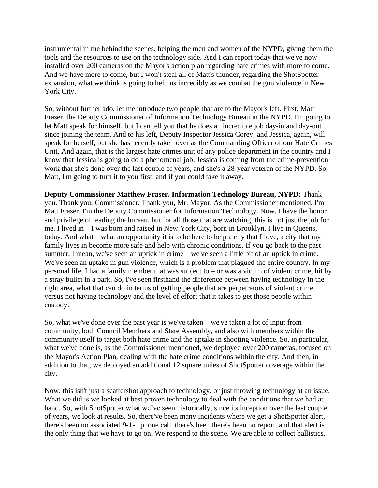instrumental in the behind the scenes, helping the men and women of the NYPD, giving them the tools and the resources to use on the technology side. And I can report today that we've now installed over 200 cameras on the Mayor's action plan regarding hate crimes with more to come. And we have more to come, but I won't steal all of Matt's thunder, regarding the ShotSpotter expansion, what we think is going to help us incredibly as we combat the gun violence in New York City.

So, without further ado, let me introduce two people that are to the Mayor's left. First, Matt Fraser, the Deputy Commissioner of Information Technology Bureau in the NYPD. I'm going to let Matt speak for himself, but I can tell you that he does an incredible job day-in and day-out since joining the team. And to his left, Deputy Inspector Jessica Corey, and Jessica, again, will speak for herself, but she has recently taken over as the Commanding Officer of our Hate Crimes Unit. And again, that is the largest hate crimes unit of any police department in the country and I know that Jessica is going to do a phenomenal job. Jessica is coming from the crime-prevention work that she's done over the last couple of years, and she's a 28-year veteran of the NYPD. So, Matt, I'm going to turn it to you first, and if you could take it away.

**Deputy Commissioner Matthew Fraser, Information Technology Bureau, NYPD:** Thank you. Thank you, Commissioner. Thank you, Mr. Mayor. As the Commissioner mentioned, I'm Matt Fraser. I'm the Deputy Commissioner for Information Technology. Now, I have the honor and privilege of leading the bureau, but for all those that are watching, this is not just the job for me. I lived in – I was born and raised in New York City, born in Brooklyn. I live in Queens, today. And what – what an opportunity it is to be here to help a city that I love, a city that my family lives in become more safe and help with chronic conditions. If you go back to the past summer, I mean, we've seen an uptick in crime – we've seen a little bit of an uptick in crime. We've seen an uptake in gun violence, which is a problem that plagued the entire country. In my personal life, I had a family member that was subject to – or was a victim of violent crime, hit by a stray bullet in a park. So, I've seen firsthand the difference between having technology in the right area, what that can do in terms of getting people that are perpetrators of violent crime, versus not having technology and the level of effort that it takes to get those people within custody.

So, what we've done over the past year is we've taken – we've taken a lot of input from community, both Council Members and State Assembly, and also with members within the community itself to target both hate crime and the uptake in shooting violence. So, in particular, what we've done is, as the Commissioner mentioned, we deployed over 200 cameras, focused on the Mayor's Action Plan, dealing with the hate crime conditions within the city. And then, in addition to that, we deployed an additional 12 square miles of ShotSpotter coverage within the city.

Now, this isn't just a scattershot approach to technology, or just throwing technology at an issue. What we did is we looked at best proven technology to deal with the conditions that we had at hand. So, with ShotSpotter what we've seen historically, since its inception over the last couple of years, we look at results. So, there've been many incidents where we get a ShotSpotter alert, there's been no associated 9-1-1 phone call, there's been there's been no report, and that alert is the only thing that we have to go on. We respond to the scene. We are able to collect ballistics.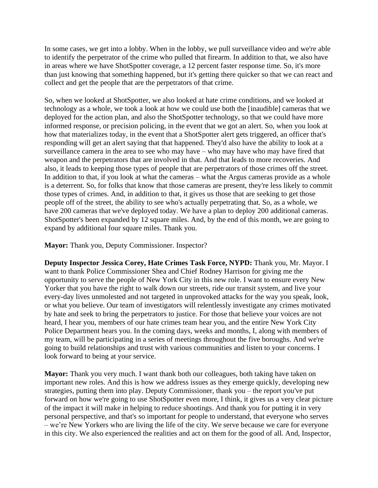In some cases, we get into a lobby. When in the lobby, we pull surveillance video and we're able to identify the perpetrator of the crime who pulled that firearm. In addition to that, we also have in areas where we have ShotSpotter coverage, a 12 percent faster response time. So, it's more than just knowing that something happened, but it's getting there quicker so that we can react and collect and get the people that are the perpetrators of that crime.

So, when we looked at ShotSpotter, we also looked at hate crime conditions, and we looked at technology as a whole, we took a look at how we could use both the [inaudible] cameras that we deployed for the action plan, and also the ShotSpotter technology, so that we could have more informed response, or precision policing, in the event that we got an alert. So, when you look at how that materializes today, in the event that a ShotSpotter alert gets triggered, an officer that's responding will get an alert saying that that happened. They'd also have the ability to look at a surveillance camera in the area to see who may have – who may have who may have fired that weapon and the perpetrators that are involved in that. And that leads to more recoveries. And also, it leads to keeping those types of people that are perpetrators of those crimes off the street. In addition to that, if you look at what the cameras – what the Argus cameras provide as a whole is a deterrent. So, for folks that know that those cameras are present, they're less likely to commit those types of crimes. And, in addition to that, it gives us those that are seeking to get those people off of the street, the ability to see who's actually perpetrating that. So, as a whole, we have 200 cameras that we've deployed today. We have a plan to deploy 200 additional cameras. ShotSpotter's been expanded by 12 square miles. And, by the end of this month, we are going to expand by additional four square miles. Thank you.

**Mayor:** Thank you, Deputy Commissioner. Inspector?

**Deputy Inspector Jessica Corey, Hate Crimes Task Force, NYPD:** Thank you, Mr. Mayor. I want to thank Police Commissioner Shea and Chief Rodney Harrison for giving me the opportunity to serve the people of New York City in this new role. I want to ensure every New Yorker that you have the right to walk down our streets, ride our transit system, and live your every-day lives unmolested and not targeted in unprovoked attacks for the way you speak, look, or what you believe. Our team of investigators will relentlessly investigate any crimes motivated by hate and seek to bring the perpetrators to justice. For those that believe your voices are not heard, I hear you, members of our hate crimes team hear you, and the entire New York City Police Department hears you. In the coming days, weeks and months, I, along with members of my team, will be participating in a series of meetings throughout the five boroughs. And we're going to build relationships and trust with various communities and listen to your concerns. I look forward to being at your service.

**Mayor:** Thank you very much. I want thank both our colleagues, both taking have taken on important new roles. And this is how we address issues as they emerge quickly, developing new strategies, putting them into play. Deputy Commissioner, thank you – the report you've put forward on how we're going to use ShotSpotter even more, I think, it gives us a very clear picture of the impact it will make in helping to reduce shootings. And thank you for putting it in very personal perspective, and that's so important for people to understand, that everyone who serves – we're New Yorkers who are living the life of the city. We serve because we care for everyone in this city. We also experienced the realities and act on them for the good of all. And, Inspector,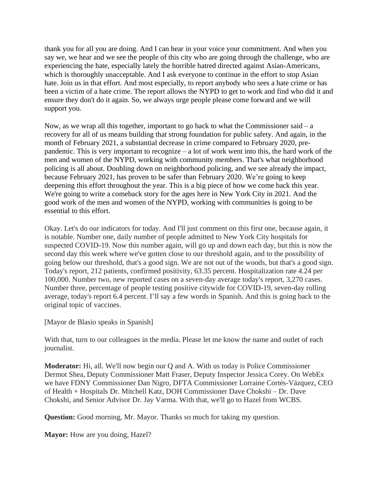thank you for all you are doing. And I can hear in your voice your commitment. And when you say we, we hear and we see the people of this city who are going through the challenge, who are experiencing the hate, especially lately the horrible hatred directed against Asian-Americans, which is thoroughly unacceptable. And I ask everyone to continue in the effort to stop Asian hate. Join us in that effort. And most especially, to report anybody who sees a hate crime or has been a victim of a hate crime. The report allows the NYPD to get to work and find who did it and ensure they don't do it again. So, we always urge people please come forward and we will support you.

Now, as we wrap all this together, important to go back to what the Commissioner said  $- a$ recovery for all of us means building that strong foundation for public safety. And again, in the month of February 2021, a substantial decrease in crime compared to February 2020, prepandemic. This is very important to recognize – a lot of work went into this, the hard work of the men and women of the NYPD, working with community members. That's what neighborhood policing is all about. Doubling down on neighborhood policing, and we see already the impact, because February 2021, has proven to be safer than February 2020. We're going to keep deepening this effort throughout the year. This is a big piece of how we come back this year. We're going to write a comeback story for the ages here in New York City in 2021. And the good work of the men and women of the NYPD, working with communities is going to be essential to this effort.

Okay. Let's do our indicators for today. And I'll just comment on this first one, because again, it is notable. Number one, daily number of people admitted to New York City hospitals for suspected COVID-19. Now this number again, will go up and down each day, but this is now the second day this week where we've gotten close to our threshold again, and to the possibility of going below our threshold, that's a good sign. We are not out of the woods, but that's a good sign. Today's report, 212 patients, confirmed positivity, 63.35 percent. Hospitalization rate 4.24 per 100,000. Number two, new reported cases on a seven-day average today's report, 3,270 cases. Number three, percentage of people testing positive citywide for COVID-19, seven-day rolling average, today's report 6.4 percent. I'll say a few words in Spanish. And this is going back to the original topic of vaccines.

[Mayor de Blasio speaks in Spanish]

With that, turn to our colleagues in the media. Please let me know the name and outlet of each journalist.

**Moderator:** Hi, all. We'll now begin our Q and A. With us today is Police Commissioner Dermot Shea, Deputy Commissioner Matt Fraser, Deputy Inspector Jessica Corey. On WebEx we have FDNY Commissioner Dan Nigro, DFTA Commissioner Lorraine Cortés-Vázquez, CEO of Health + Hospitals Dr. Mitchell Katz, DOH Commissioner Dave Chokshi – Dr. Dave Chokshi, and Senior Advisor Dr. Jay Varma. With that, we'll go to Hazel from WCBS.

**Question:** Good morning, Mr. Mayor. Thanks so much for taking my question.

**Mayor:** How are you doing, Hazel?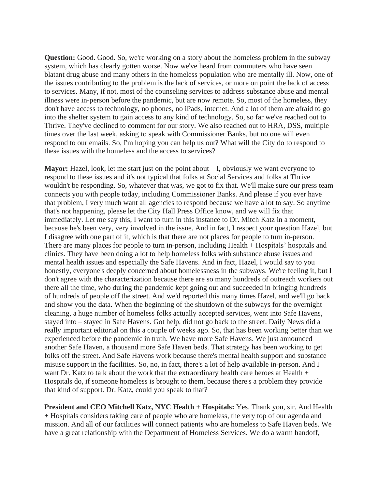**Question:** Good. Good. So, we're working on a story about the homeless problem in the subway system, which has clearly gotten worse. Now we've heard from commuters who have seen blatant drug abuse and many others in the homeless population who are mentally ill. Now, one of the issues contributing to the problem is the lack of services, or more on point the lack of access to services. Many, if not, most of the counseling services to address substance abuse and mental illness were in-person before the pandemic, but are now remote. So, most of the homeless, they don't have access to technology, no phones, no iPads, internet. And a lot of them are afraid to go into the shelter system to gain access to any kind of technology. So, so far we've reached out to Thrive. They've declined to comment for our story. We also reached out to HRA, DSS, multiple times over the last week, asking to speak with Commissioner Banks, but no one will even respond to our emails. So, I'm hoping you can help us out? What will the City do to respond to these issues with the homeless and the access to services?

**Mayor:** Hazel, look, let me start just on the point about – I, obviously we want everyone to respond to these issues and it's not typical that folks at Social Services and folks at Thrive wouldn't be responding. So, whatever that was, we got to fix that. We'll make sure our press team connects you with people today, including Commissioner Banks. And please if you ever have that problem, I very much want all agencies to respond because we have a lot to say. So anytime that's not happening, please let the City Hall Press Office know, and we will fix that immediately. Let me say this, I want to turn in this instance to Dr. Mitch Katz in a moment, because he's been very, very involved in the issue. And in fact, I respect your question Hazel, but I disagree with one part of it, which is that there are not places for people to turn in-person. There are many places for people to turn in-person, including Health + Hospitals' hospitals and clinics. They have been doing a lot to help homeless folks with substance abuse issues and mental health issues and especially the Safe Havens. And in fact, Hazel, I would say to you honestly, everyone's deeply concerned about homelessness in the subways. We're feeling it, but I don't agree with the characterization because there are so many hundreds of outreach workers out there all the time, who during the pandemic kept going out and succeeded in bringing hundreds of hundreds of people off the street. And we'd reported this many times Hazel, and we'll go back and show you the data. When the beginning of the shutdown of the subways for the overnight cleaning, a huge number of homeless folks actually accepted services, went into Safe Havens, stayed into – stayed in Safe Havens. Got help, did not go back to the street. Daily News did a really important editorial on this a couple of weeks ago. So, that has been working better than we experienced before the pandemic in truth. We have more Safe Havens. We just announced another Safe Haven, a thousand more Safe Haven beds. That strategy has been working to get folks off the street. And Safe Havens work because there's mental health support and substance misuse support in the facilities. So, no, in fact, there's a lot of help available in-person. And I want Dr. Katz to talk about the work that the extraordinary health care heroes at Health + Hospitals do, if someone homeless is brought to them, because there's a problem they provide that kind of support. Dr. Katz, could you speak to that?

**President and CEO Mitchell Katz, NYC Health + Hospitals:** Yes. Thank you, sir. And Health + Hospitals considers taking care of people who are homeless, the very top of our agenda and mission. And all of our facilities will connect patients who are homeless to Safe Haven beds. We have a great relationship with the Department of Homeless Services. We do a warm handoff,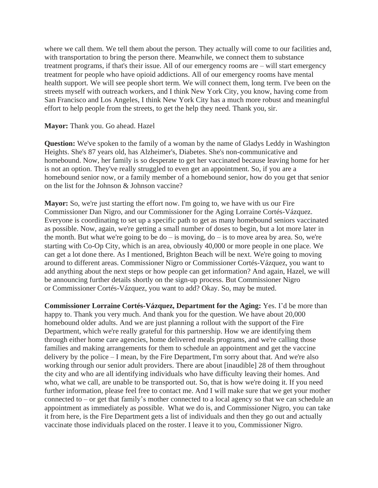where we call them. We tell them about the person. They actually will come to our facilities and, with transportation to bring the person there. Meanwhile, we connect them to substance treatment programs, if that's their issue. All of our emergency rooms are – will start emergency treatment for people who have opioid addictions. All of our emergency rooms have mental health support. We will see people short term. We will connect them, long term. I've been on the streets myself with outreach workers, and I think New York City, you know, having come from San Francisco and Los Angeles, I think New York City has a much more robust and meaningful effort to help people from the streets, to get the help they need. Thank you, sir.

## **Mayor:** Thank you. Go ahead. Hazel

**Question:** We've spoken to the family of a woman by the name of Gladys Leddy in Washington Heights. She's 87 years old, has Alzheimer's, Diabetes. She's non-communicative and homebound. Now, her family is so desperate to get her vaccinated because leaving home for her is not an option. They've really struggled to even get an appointment. So, if you are a homebound senior now, or a family member of a homebound senior, how do you get that senior on the list for the Johnson & Johnson vaccine?

**Mayor:** So, we're just starting the effort now. I'm going to, we have with us our Fire Commissioner Dan Nigro, and our Commissioner for the Aging Lorraine Cortés-Vázquez. Everyone is coordinating to set up a specific path to get as many homebound seniors vaccinated as possible. Now, again, we're getting a small number of doses to begin, but a lot more later in the month. But what we're going to be  $do - is$  moving,  $do - is$  to move area by area. So, we're starting with Co-Op City, which is an area, obviously 40,000 or more people in one place. We can get a lot done there. As I mentioned, Brighton Beach will be next. We're going to moving around to different areas. Commissioner Nigro or Commissioner Cortés-Vázquez, you want to add anything about the next steps or how people can get information? And again, Hazel, we will be announcing further details shortly on the sign-up process. But Commissioner Nigro or Commissioner Cortés-Vázquez, you want to add? Okay. So, may be muted.

**Commissioner Lorraine Cortés-Vázquez, Department for the Aging:** Yes. I'd be more than happy to. Thank you very much. And thank you for the question. We have about 20,000 homebound older adults. And we are just planning a rollout with the support of the Fire Department, which we're really grateful for this partnership. How we are identifying them through either home care agencies, home delivered meals programs, and we're calling those families and making arrangements for them to schedule an appointment and get the vaccine delivery by the police – I mean, by the Fire Department, I'm sorry about that. And we're also working through our senior adult providers. There are about [inaudible] 28 of them throughout the city and who are all identifying individuals who have difficulty leaving their homes. And who, what we call, are unable to be transported out. So, that is how we're doing it. If you need further information, please feel free to contact me. And I will make sure that we get your mother connected to – or get that family's mother connected to a local agency so that we can schedule an appointment as immediately as possible. What we do is, and Commissioner Nigro, you can take it from here, is the Fire Department gets a list of individuals and then they go out and actually vaccinate those individuals placed on the roster. I leave it to you, Commissioner Nigro.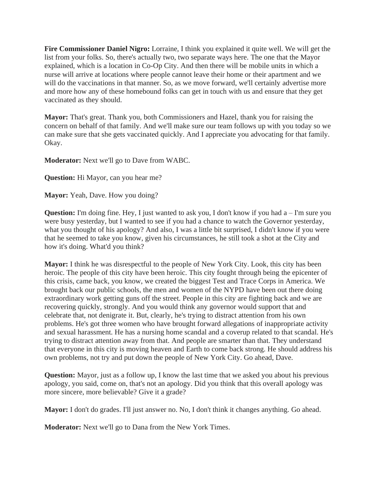**Fire Commissioner Daniel Nigro:** Lorraine, I think you explained it quite well. We will get the list from your folks. So, there's actually two, two separate ways here. The one that the Mayor explained, which is a location in Co-Op City. And then there will be mobile units in which a nurse will arrive at locations where people cannot leave their home or their apartment and we will do the vaccinations in that manner. So, as we move forward, we'll certainly advertise more and more how any of these homebound folks can get in touch with us and ensure that they get vaccinated as they should.

**Mayor:** That's great. Thank you, both Commissioners and Hazel, thank you for raising the concern on behalf of that family. And we'll make sure our team follows up with you today so we can make sure that she gets vaccinated quickly. And I appreciate you advocating for that family. Okay.

**Moderator:** Next we'll go to Dave from WABC.

**Question:** Hi Mayor, can you hear me?

**Mayor:** Yeah, Dave. How you doing?

**Question:** I'm doing fine. Hey, I just wanted to ask you, I don't know if you had a – I'm sure you were busy yesterday, but I wanted to see if you had a chance to watch the Governor yesterday, what you thought of his apology? And also, I was a little bit surprised, I didn't know if you were that he seemed to take you know, given his circumstances, he still took a shot at the City and how it's doing. What'd you think?

**Mayor:** I think he was disrespectful to the people of New York City. Look, this city has been heroic. The people of this city have been heroic. This city fought through being the epicenter of this crisis, came back, you know, we created the biggest Test and Trace Corps in America. We brought back our public schools, the men and women of the NYPD have been out there doing extraordinary work getting guns off the street. People in this city are fighting back and we are recovering quickly, strongly. And you would think any governor would support that and celebrate that, not denigrate it. But, clearly, he's trying to distract attention from his own problems. He's got three women who have brought forward allegations of inappropriate activity and sexual harassment. He has a nursing home scandal and a coverup related to that scandal. He's trying to distract attention away from that. And people are smarter than that. They understand that everyone in this city is moving heaven and Earth to come back strong. He should address his own problems, not try and put down the people of New York City. Go ahead, Dave.

**Question:** Mayor, just as a follow up, I know the last time that we asked you about his previous apology, you said, come on, that's not an apology. Did you think that this overall apology was more sincere, more believable? Give it a grade?

**Mayor:** I don't do grades. I'll just answer no. No, I don't think it changes anything. Go ahead.

**Moderator:** Next we'll go to Dana from the New York Times.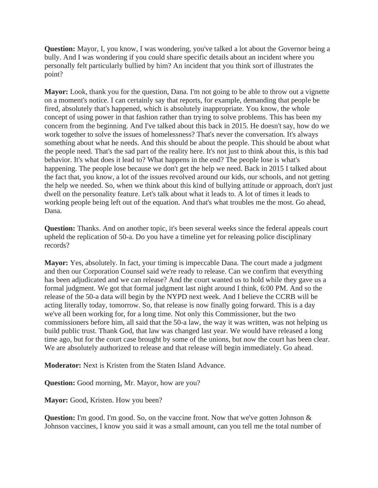**Question:** Mayor, I, you know, I was wondering, you've talked a lot about the Governor being a bully. And I was wondering if you could share specific details about an incident where you personally felt particularly bullied by him? An incident that you think sort of illustrates the point?

**Mayor:** Look, thank you for the question, Dana. I'm not going to be able to throw out a vignette on a moment's notice. I can certainly say that reports, for example, demanding that people be fired, absolutely that's happened, which is absolutely inappropriate. You know, the whole concept of using power in that fashion rather than trying to solve problems. This has been my concern from the beginning. And I've talked about this back in 2015. He doesn't say, how do we work together to solve the issues of homelessness? That's never the conversation. It's always something about what he needs. And this should be about the people. This should be about what the people need. That's the sad part of the reality here. It's not just to think about this, is this bad behavior. It's what does it lead to? What happens in the end? The people lose is what's happening. The people lose because we don't get the help we need. Back in 2015 I talked about the fact that, you know, a lot of the issues revolved around our kids, our schools, and not getting the help we needed. So, when we think about this kind of bullying attitude or approach, don't just dwell on the personality feature. Let's talk about what it leads to. A lot of times it leads to working people being left out of the equation. And that's what troubles me the most. Go ahead, Dana.

**Question:** Thanks. And on another topic, it's been several weeks since the federal appeals court upheld the replication of 50-a. Do you have a timeline yet for releasing police disciplinary records?

**Mayor:** Yes, absolutely. In fact, your timing is impeccable Dana. The court made a judgment and then our Corporation Counsel said we're ready to release. Can we confirm that everything has been adjudicated and we can release? And the court wanted us to hold while they gave us a formal judgment. We got that formal judgment last night around I think, 6:00 PM. And so the release of the 50-a data will begin by the NYPD next week. And I believe the CCRB will be acting literally today, tomorrow. So, that release is now finally going forward. This is a day we've all been working for, for a long time. Not only this Commissioner, but the two commissioners before him, all said that the 50-a law, the way it was written, was not helping us build public trust. Thank God, that law was changed last year. We would have released a long time ago, but for the court case brought by some of the unions, but now the court has been clear. We are absolutely authorized to release and that release will begin immediately. Go ahead.

**Moderator:** Next is Kristen from the Staten Island Advance.

**Question:** Good morning, Mr. Mayor, how are you?

**Mayor:** Good, Kristen. How you been?

**Question:** I'm good. I'm good. So, on the vaccine front. Now that we've gotten Johnson & Johnson vaccines, I know you said it was a small amount, can you tell me the total number of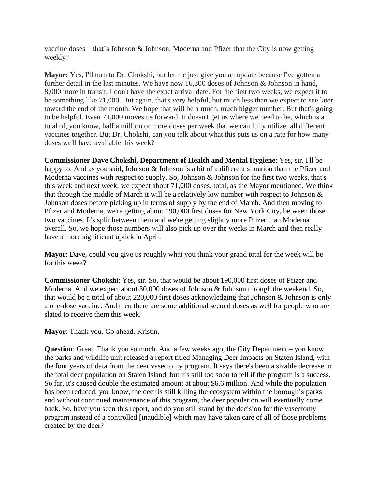vaccine doses – that's Johnson & Johnson, Moderna and Pfizer that the City is now getting weekly?

**Mayor:** Yes, I'll turn to Dr. Chokshi, but let me just give you an update because I've gotten a further detail in the last minutes. We have now 16,300 doses of Johnson & Johnson in hand, 8,000 more in transit. I don't have the exact arrival date. For the first two weeks, we expect it to be something like 71,000. But again, that's very helpful, but much less than we expect to see later toward the end of the month. We hope that will be a much, much bigger number. But that's going to be helpful. Even 71,000 moves us forward. It doesn't get us where we need to be, which is a total of, you know, half a million or more doses per week that we can fully utilize, all different vaccines together. But Dr. Chokshi, can you talk about what this puts us on a rate for how many doses we'll have available this week?

**Commissioner Dave Chokshi, Department of Health and Mental Hygiene**: Yes, sir. I'll be happy to. And as you said, Johnson & Johnson is a bit of a different situation than the Pfizer and Moderna vaccines with respect to supply. So, Johnson & Johnson for the first two weeks, that's this week and next week, we expect about 71,000 doses, total, as the Mayor mentioned. We think that through the middle of March it will be a relatively low number with respect to Johnson  $\&$ Johnson doses before picking up in terms of supply by the end of March. And then moving to Pfizer and Moderna, we're getting about 190,000 first doses for New York City, between those two vaccines. It's split between them and we're getting slightly more Pfizer than Moderna overall. So, we hope those numbers will also pick up over the weeks in March and then really have a more significant uptick in April.

**Mayor**: Dave, could you give us roughly what you think your grand total for the week will be for this week?

**Commissioner Chokshi**: Yes, sir. So, that would be about 190,000 first doses of Pfizer and Moderna. And we expect about 30,000 doses of Johnson & Johnson through the weekend. So, that would be a total of about 220,000 first doses acknowledging that Johnson & Johnson is only a one-dose vaccine. And then there are some additional second doses as well for people who are slated to receive them this week.

**Mayor**: Thank you. Go ahead, Kristin.

**Question**: Great. Thank you so much. And a few weeks ago, the City Department – you know the parks and wildlife unit released a report titled Managing Deer Impacts on Staten Island, with the four years of data from the deer vasectomy program. It says there's been a sizable decrease in the total deer population on Staten Island, but it's still too soon to tell if the program is a success. So far, it's caused double the estimated amount at about \$6.6 million. And while the population has been reduced, you know, the deer is still killing the ecosystem within the borough's parks and without continued maintenance of this program, the deer population will eventually come back. So, have you seen this report, and do you still stand by the decision for the vasectomy program instead of a controlled [inaudible] which may have taken care of all of those problems created by the deer?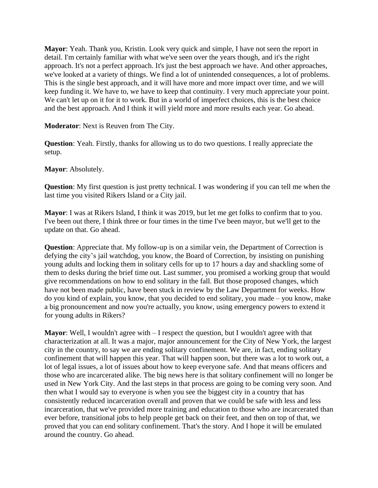**Mayor**: Yeah. Thank you, Kristin. Look very quick and simple, I have not seen the report in detail. I'm certainly familiar with what we've seen over the years though, and it's the right approach. It's not a perfect approach. It's just the best approach we have. And other approaches, we've looked at a variety of things. We find a lot of unintended consequences, a lot of problems. This is the single best approach, and it will have more and more impact over time, and we will keep funding it. We have to, we have to keep that continuity. I very much appreciate your point. We can't let up on it for it to work. But in a world of imperfect choices, this is the best choice and the best approach. And I think it will yield more and more results each year. Go ahead.

**Moderator**: Next is Reuven from The City.

**Question**: Yeah. Firstly, thanks for allowing us to do two questions. I really appreciate the setup.

**Mayor**: Absolutely.

**Question**: My first question is just pretty technical. I was wondering if you can tell me when the last time you visited Rikers Island or a City jail.

**Mayor**: I was at Rikers Island, I think it was 2019, but let me get folks to confirm that to you. I've been out there, I think three or four times in the time I've been mayor, but we'll get to the update on that. Go ahead.

**Question**: Appreciate that. My follow-up is on a similar vein, the Department of Correction is defying the city's jail watchdog, you know, the Board of Correction, by insisting on punishing young adults and locking them in solitary cells for up to 17 hours a day and shackling some of them to desks during the brief time out. Last summer, you promised a working group that would give recommendations on how to end solitary in the fall. But those proposed changes, which have not been made public, have been stuck in review by the Law Department for weeks. How do you kind of explain, you know, that you decided to end solitary, you made – you know, make a big pronouncement and now you're actually, you know, using emergency powers to extend it for young adults in Rikers?

**Mayor**: Well, I wouldn't agree with – I respect the question, but I wouldn't agree with that characterization at all. It was a major, major announcement for the City of New York, the largest city in the country, to say we are ending solitary confinement. We are, in fact, ending solitary confinement that will happen this year. That will happen soon, but there was a lot to work out, a lot of legal issues, a lot of issues about how to keep everyone safe. And that means officers and those who are incarcerated alike. The big news here is that solitary confinement will no longer be used in New York City. And the last steps in that process are going to be coming very soon. And then what I would say to everyone is when you see the biggest city in a country that has consistently reduced incarceration overall and proven that we could be safe with less and less incarceration, that we've provided more training and education to those who are incarcerated than ever before, transitional jobs to help people get back on their feet, and then on top of that, we proved that you can end solitary confinement. That's the story. And I hope it will be emulated around the country. Go ahead.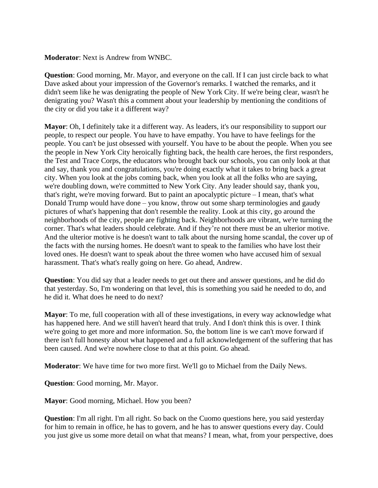**Moderator**: Next is Andrew from WNBC.

**Question**: Good morning, Mr. Mayor, and everyone on the call. If I can just circle back to what Dave asked about your impression of the Governor's remarks. I watched the remarks, and it didn't seem like he was denigrating the people of New York City. If we're being clear, wasn't he denigrating you? Wasn't this a comment about your leadership by mentioning the conditions of the city or did you take it a different way?

**Mayor**: Oh, I definitely take it a different way. As leaders, it's our responsibility to support our people, to respect our people. You have to have empathy. You have to have feelings for the people. You can't be just obsessed with yourself. You have to be about the people. When you see the people in New York City heroically fighting back, the health care heroes, the first responders, the Test and Trace Corps, the educators who brought back our schools, you can only look at that and say, thank you and congratulations, you're doing exactly what it takes to bring back a great city. When you look at the jobs coming back, when you look at all the folks who are saying, we're doubling down, we're committed to New York City. Any leader should say, thank you, that's right, we're moving forward. But to paint an apocalyptic picture  $-I$  mean, that's what Donald Trump would have done – you know, throw out some sharp terminologies and gaudy pictures of what's happening that don't resemble the reality. Look at this city, go around the neighborhoods of the city, people are fighting back. Neighborhoods are vibrant, we're turning the corner. That's what leaders should celebrate. And if they're not there must be an ulterior motive. And the ulterior motive is he doesn't want to talk about the nursing home scandal, the cover up of the facts with the nursing homes. He doesn't want to speak to the families who have lost their loved ones. He doesn't want to speak about the three women who have accused him of sexual harassment. That's what's really going on here. Go ahead, Andrew.

**Question**: You did say that a leader needs to get out there and answer questions, and he did do that yesterday. So, I'm wondering on that level, this is something you said he needed to do, and he did it. What does he need to do next?

**Mayor**: To me, full cooperation with all of these investigations, in every way acknowledge what has happened here. And we still haven't heard that truly. And I don't think this is over. I think we're going to get more and more information. So, the bottom line is we can't move forward if there isn't full honesty about what happened and a full acknowledgement of the suffering that has been caused. And we're nowhere close to that at this point. Go ahead.

**Moderator**: We have time for two more first. We'll go to Michael from the Daily News.

**Question**: Good morning, Mr. Mayor.

**Mayor**: Good morning, Michael. How you been?

**Question**: I'm all right. I'm all right. So back on the Cuomo questions here, you said yesterday for him to remain in office, he has to govern, and he has to answer questions every day. Could you just give us some more detail on what that means? I mean, what, from your perspective, does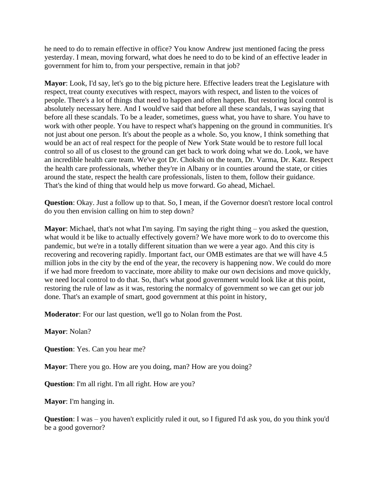he need to do to remain effective in office? You know Andrew just mentioned facing the press yesterday. I mean, moving forward, what does he need to do to be kind of an effective leader in government for him to, from your perspective, remain in that job?

**Mayor**: Look, I'd say, let's go to the big picture here. Effective leaders treat the Legislature with respect, treat county executives with respect, mayors with respect, and listen to the voices of people. There's a lot of things that need to happen and often happen. But restoring local control is absolutely necessary here. And I would've said that before all these scandals, I was saying that before all these scandals. To be a leader, sometimes, guess what, you have to share. You have to work with other people. You have to respect what's happening on the ground in communities. It's not just about one person. It's about the people as a whole. So, you know, I think something that would be an act of real respect for the people of New York State would be to restore full local control so all of us closest to the ground can get back to work doing what we do. Look, we have an incredible health care team. We've got Dr. Chokshi on the team, Dr. Varma, Dr. Katz. Respect the health care professionals, whether they're in Albany or in counties around the state, or cities around the state, respect the health care professionals, listen to them, follow their guidance. That's the kind of thing that would help us move forward. Go ahead, Michael.

**Question**: Okay. Just a follow up to that. So, I mean, if the Governor doesn't restore local control do you then envision calling on him to step down?

**Mayor**: Michael, that's not what I'm saying. I'm saying the right thing – you asked the question, what would it be like to actually effectively govern? We have more work to do to overcome this pandemic, but we're in a totally different situation than we were a year ago. And this city is recovering and recovering rapidly. Important fact, our OMB estimates are that we will have 4.5 million jobs in the city by the end of the year, the recovery is happening now. We could do more if we had more freedom to vaccinate, more ability to make our own decisions and move quickly, we need local control to do that. So, that's what good government would look like at this point, restoring the rule of law as it was, restoring the normalcy of government so we can get our job done. That's an example of smart, good government at this point in history,

**Moderator**: For our last question, we'll go to Nolan from the Post.

## **Mayor**: Nolan?

**Question**: Yes. Can you hear me?

**Mayor**: There you go. How are you doing, man? How are you doing?

**Question**: I'm all right. I'm all right. How are you?

**Mayor**: I'm hanging in.

**Question**: I was – you haven't explicitly ruled it out, so I figured I'd ask you, do you think you'd be a good governor?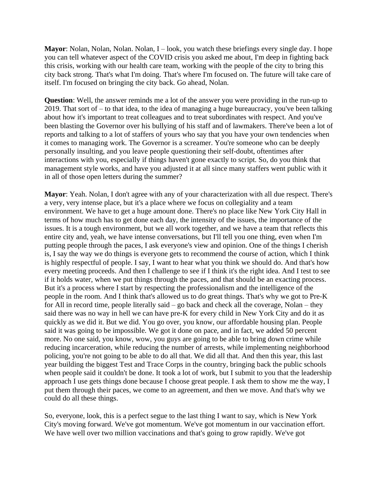**Mayor**: Nolan, Nolan, Nolan. Nolan, I – look, you watch these briefings every single day. I hope you can tell whatever aspect of the COVID crisis you asked me about, I'm deep in fighting back this crisis, working with our health care team, working with the people of the city to bring this city back strong. That's what I'm doing. That's where I'm focused on. The future will take care of itself. I'm focused on bringing the city back. Go ahead, Nolan.

**Question**: Well, the answer reminds me a lot of the answer you were providing in the run-up to 2019. That sort of – to that idea, to the idea of managing a huge bureaucracy, you've been talking about how it's important to treat colleagues and to treat subordinates with respect. And you've been blasting the Governor over his bullying of his staff and of lawmakers. There've been a lot of reports and talking to a lot of staffers of yours who say that you have your own tendencies when it comes to managing work. The Governor is a screamer. You're someone who can be deeply personally insulting, and you leave people questioning their self-doubt, oftentimes after interactions with you, especially if things haven't gone exactly to script. So, do you think that management style works, and have you adjusted it at all since many staffers went public with it in all of those open letters during the summer?

**Mayor**: Yeah. Nolan, I don't agree with any of your characterization with all due respect. There's a very, very intense place, but it's a place where we focus on collegiality and a team environment. We have to get a huge amount done. There's no place like New York City Hall in terms of how much has to get done each day, the intensity of the issues, the importance of the issues. It is a tough environment, but we all work together, and we have a team that reflects this entire city and, yeah, we have intense conversations, but I'll tell you one thing, even when I'm putting people through the paces, I ask everyone's view and opinion. One of the things I cherish is, I say the way we do things is everyone gets to recommend the course of action, which I think is highly respectful of people. I say, I want to hear what you think we should do. And that's how every meeting proceeds. And then I challenge to see if I think it's the right idea. And I test to see if it holds water, when we put things through the paces, and that should be an exacting process. But it's a process where I start by respecting the professionalism and the intelligence of the people in the room. And I think that's allowed us to do great things. That's why we got to Pre-K for All in record time, people literally said – go back and check all the coverage, Nolan – they said there was no way in hell we can have pre-K for every child in New York City and do it as quickly as we did it. But we did. You go over, you know, our affordable housing plan. People said it was going to be impossible. We got it done on pace, and in fact, we added 50 percent more. No one said, you know, wow, you guys are going to be able to bring down crime while reducing incarceration, while reducing the number of arrests, while implementing neighborhood policing, you're not going to be able to do all that. We did all that. And then this year, this last year building the biggest Test and Trace Corps in the country, bringing back the public schools when people said it couldn't be done. It took a lot of work, but I submit to you that the leadership approach I use gets things done because I choose great people. I ask them to show me the way, I put them through their paces, we come to an agreement, and then we move. And that's why we could do all these things.

So, everyone, look, this is a perfect segue to the last thing I want to say, which is New York City's moving forward. We've got momentum. We've got momentum in our vaccination effort. We have well over two million vaccinations and that's going to grow rapidly. We've got